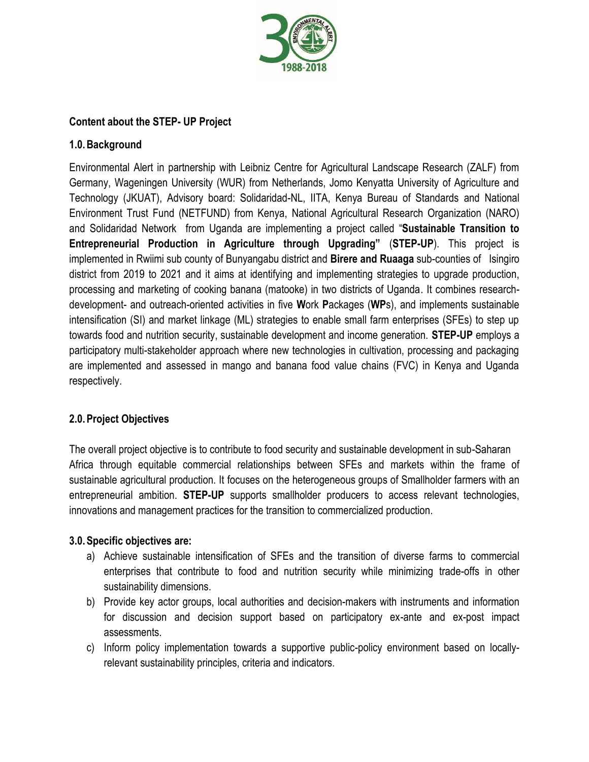

## **Content about the STEP- UP Project**

# **1.0.Background**

Environmental Alert in partnership with Leibniz Centre for Agricultural Landscape Research (ZALF) from Germany, Wageningen University (WUR) from Netherlands, Jomo Kenyatta University of Agriculture and Technology (JKUAT), Advisory board: Solidaridad-NL, IITA, Kenya Bureau of Standards and National Environment Trust Fund (NETFUND) from Kenya, National Agricultural Research Organization (NARO) and Solidaridad Network from Uganda are implementing a project called "**Sustainable Transition to Entrepreneurial Production in Agriculture through Upgrading"** (**STEP-UP**). This project is implemented in Rwiimi sub county of Bunyangabu district and **Birere and Ruaaga** sub-counties of Isingiro district from 2019 to 2021 and it aims at identifying and implementing strategies to upgrade production, processing and marketing of cooking banana (matooke) in two districts of Uganda. It combines researchdevelopment- and outreach-oriented activities in five **W**ork **P**ackages (**WP**s), and implements sustainable intensification (SI) and market linkage (ML) strategies to enable small farm enterprises (SFEs) to step up towards food and nutrition security, sustainable development and income generation. **STEP-UP** employs a participatory multi-stakeholder approach where new technologies in cultivation, processing and packaging are implemented and assessed in mango and banana food value chains (FVC) in Kenya and Uganda respectively.

# **2.0.Project Objectives**

The overall project objective is to contribute to food security and sustainable development in sub-Saharan Africa through equitable commercial relationships between SFEs and markets within the frame of sustainable agricultural production. It focuses on the heterogeneous groups of Smallholder farmers with an entrepreneurial ambition. **STEP-UP** supports smallholder producers to access relevant technologies, innovations and management practices for the transition to commercialized production.

### **3.0.Specific objectives are:**

- a) Achieve sustainable intensification of SFEs and the transition of diverse farms to commercial enterprises that contribute to food and nutrition security while minimizing trade-offs in other sustainability dimensions.
- b) Provide key actor groups, local authorities and decision-makers with instruments and information for discussion and decision support based on participatory ex-ante and ex-post impact assessments.
- c) Inform policy implementation towards a supportive public-policy environment based on locallyrelevant sustainability principles, criteria and indicators.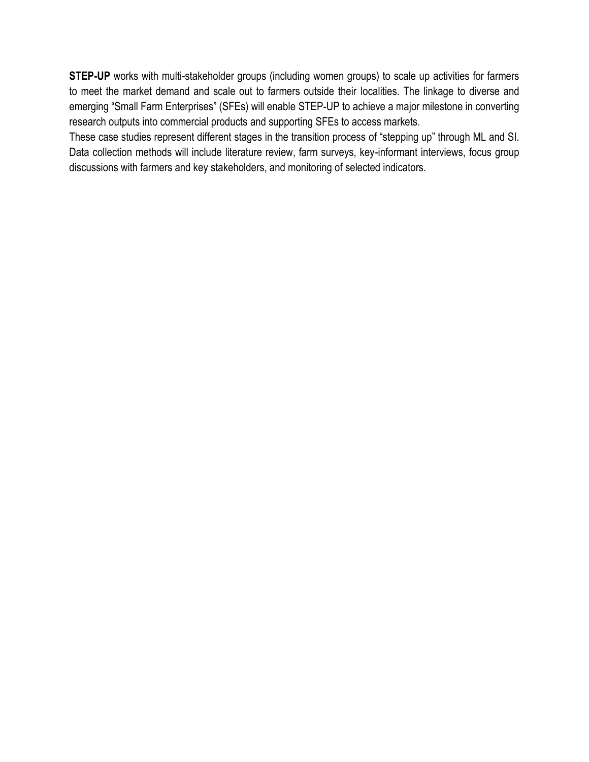**STEP-UP** works with multi-stakeholder groups (including women groups) to scale up activities for farmers to meet the market demand and scale out to farmers outside their localities. The linkage to diverse and emerging "Small Farm Enterprises" (SFEs) will enable STEP-UP to achieve a major milestone in converting research outputs into commercial products and supporting SFEs to access markets.

These case studies represent different stages in the transition process of "stepping up" through ML and SI. Data collection methods will include literature review, farm surveys, key-informant interviews, focus group discussions with farmers and key stakeholders, and monitoring of selected indicators.